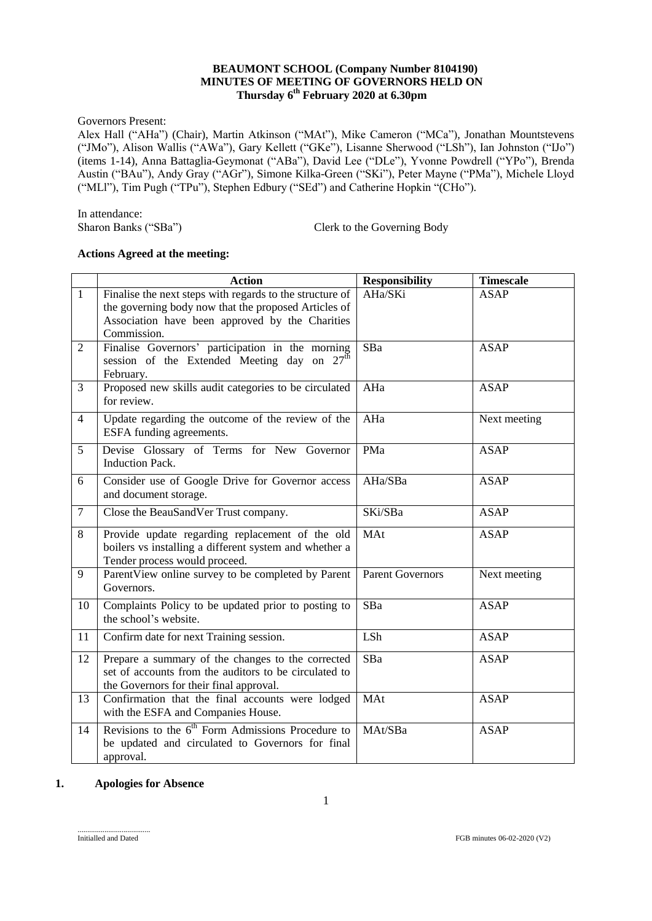## **BEAUMONT SCHOOL (Company Number 8104190) MINUTES OF MEETING OF GOVERNORS HELD ON Thursday 6 th February 2020 at 6.30pm**

Governors Present:

Alex Hall ("AHa") (Chair), Martin Atkinson ("MAt"), Mike Cameron ("MCa"), Jonathan Mountstevens ("JMo"), Alison Wallis ("AWa"), Gary Kellett ("GKe"), Lisanne Sherwood ("LSh"), Ian Johnston ("IJo") (items 1-14), Anna Battaglia-Geymonat ("ABa"), David Lee ("DLe"), Yvonne Powdrell ("YPo"), Brenda Austin ("BAu"), Andy Gray ("AGr"), Simone Kilka-Green ("SKi"), Peter Mayne ("PMa"), Michele Lloyd ("MLl"), Tim Pugh ("TPu"), Stephen Edbury ("SEd") and Catherine Hopkin "(CHo").

In attendance:<br>Sharon Banks ("SBa") Clerk to the Governing Body

#### **Actions Agreed at the meeting:**

|                | <b>Action</b>                                                                                                                                                                      | <b>Responsibility</b>   | <b>Timescale</b> |
|----------------|------------------------------------------------------------------------------------------------------------------------------------------------------------------------------------|-------------------------|------------------|
| $\mathbf{1}$   | Finalise the next steps with regards to the structure of<br>the governing body now that the proposed Articles of<br>Association have been approved by the Charities<br>Commission. | AHa/SKi                 | <b>ASAP</b>      |
| 2              | Finalise Governors' participation in the morning<br>session of the Extended Meeting day on $27^{\text{th}}$<br>February.                                                           | SBa                     | <b>ASAP</b>      |
| 3              | Proposed new skills audit categories to be circulated<br>for review.                                                                                                               | AHa                     | <b>ASAP</b>      |
| $\overline{4}$ | Update regarding the outcome of the review of the<br>ESFA funding agreements.                                                                                                      | AHa                     | Next meeting     |
| 5              | Devise Glossary of Terms for New Governor<br><b>Induction Pack.</b>                                                                                                                | PMa                     | <b>ASAP</b>      |
| 6              | Consider use of Google Drive for Governor access<br>and document storage.                                                                                                          | AHa/SBa                 | <b>ASAP</b>      |
| $\tau$         | Close the BeauSandVer Trust company.                                                                                                                                               | SKi/SBa                 | <b>ASAP</b>      |
| 8              | Provide update regarding replacement of the old<br>boilers vs installing a different system and whether a<br>Tender process would proceed.                                         | MAt                     | <b>ASAP</b>      |
| 9              | ParentView online survey to be completed by Parent<br>Governors.                                                                                                                   | <b>Parent Governors</b> | Next meeting     |
| 10             | Complaints Policy to be updated prior to posting to<br>the school's website.                                                                                                       | SBa                     | <b>ASAP</b>      |
| 11             | Confirm date for next Training session.                                                                                                                                            | LSh                     | <b>ASAP</b>      |
| 12             | Prepare a summary of the changes to the corrected<br>set of accounts from the auditors to be circulated to<br>the Governors for their final approval.                              | SBa                     | <b>ASAP</b>      |
| 13             | Confirmation that the final accounts were lodged<br>with the ESFA and Companies House.                                                                                             | MAt                     | <b>ASAP</b>      |
| 14             | Revisions to the 6 <sup>th</sup> Form Admissions Procedure to<br>be updated and circulated to Governors for final<br>approval.                                                     | MAt/SBa                 | <b>ASAP</b>      |

## **1. Apologies for Absence**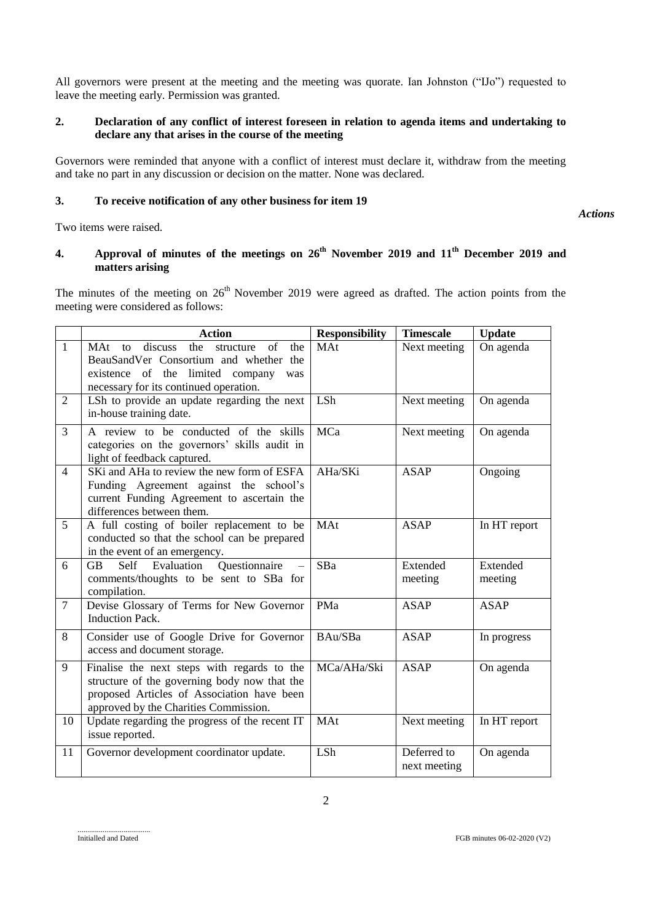All governors were present at the meeting and the meeting was quorate. Ian Johnston ("IJo") requested to leave the meeting early. Permission was granted.

### **2. Declaration of any conflict of interest foreseen in relation to agenda items and undertaking to declare any that arises in the course of the meeting**

Governors were reminded that anyone with a conflict of interest must declare it, withdraw from the meeting and take no part in any discussion or decision on the matter. None was declared.

### **3. To receive notification of any other business for item 19**

*Actions*

Two items were raised.

## **4. Approval of minutes of the meetings on 26th November 2019 and 11 th December 2019 and matters arising**

The minutes of the meeting on  $26<sup>th</sup>$  November 2019 were agreed as drafted. The action points from the meeting were considered as follows:

|                | <b>Action</b>                                                                                                                                                                      | <b>Responsibility</b> | <b>Timescale</b>            | <b>Update</b>       |
|----------------|------------------------------------------------------------------------------------------------------------------------------------------------------------------------------------|-----------------------|-----------------------------|---------------------|
| $\mathbf{1}$   | MAt to discuss the<br>of<br>structure<br>the<br>BeauSandVer Consortium and whether the<br>existence of the limited company<br>was<br>necessary for its continued operation.        | MAt                   | Next meeting                | On agenda           |
| 2              | LSh to provide an update regarding the next<br>in-house training date.                                                                                                             | LSh                   | Next meeting                | On agenda           |
| $\overline{3}$ | A review to be conducted of the skills<br>categories on the governors' skills audit in<br>light of feedback captured.                                                              | MCa                   | Next meeting                | On agenda           |
| $\overline{4}$ | SKi and AHa to review the new form of ESFA<br>Funding Agreement against the school's<br>current Funding Agreement to ascertain the<br>differences between them.                    | AHa/SKi               | <b>ASAP</b>                 | Ongoing             |
| 5              | A full costing of boiler replacement to be<br>conducted so that the school can be prepared<br>in the event of an emergency.                                                        | MAt                   | <b>ASAP</b>                 | In HT report        |
| 6              | Evaluation<br>Questionnaire<br>GB<br>Self<br>comments/thoughts to be sent to SBa for<br>compilation.                                                                               | SBa                   | Extended<br>meeting         | Extended<br>meeting |
| $\tau$         | Devise Glossary of Terms for New Governor<br><b>Induction Pack.</b>                                                                                                                | PMa                   | <b>ASAP</b>                 | <b>ASAP</b>         |
| 8              | Consider use of Google Drive for Governor<br>access and document storage.                                                                                                          | BAu/SBa               | <b>ASAP</b>                 | In progress         |
| 9              | Finalise the next steps with regards to the<br>structure of the governing body now that the<br>proposed Articles of Association have been<br>approved by the Charities Commission. | MCa/AHa/Ski           | <b>ASAP</b>                 | On agenda           |
| 10             | Update regarding the progress of the recent IT<br>issue reported.                                                                                                                  | MAt                   | Next meeting                | In HT report        |
| 11             | Governor development coordinator update.                                                                                                                                           | LSh                   | Deferred to<br>next meeting | On agenda           |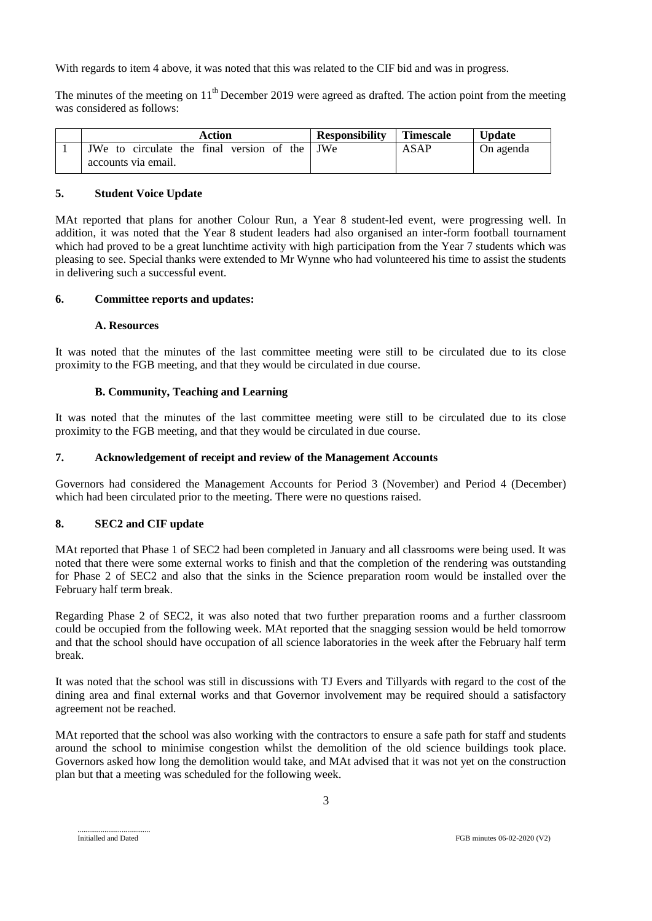With regards to item 4 above, it was noted that this was related to the CIF bid and was in progress.

The minutes of the meeting on  $11<sup>th</sup>$  December 2019 were agreed as drafted. The action point from the meeting was considered as follows:

| Action                                        | <b>Responsibility</b> | <b>Timescale</b> | Update    |
|-----------------------------------------------|-----------------------|------------------|-----------|
| JWe to circulate the final version of the JWe |                       | ASAP             | On agenda |
| accounts via email.                           |                       |                  |           |

### **5. Student Voice Update**

MAt reported that plans for another Colour Run, a Year 8 student-led event, were progressing well. In addition, it was noted that the Year 8 student leaders had also organised an inter-form football tournament which had proved to be a great lunchtime activity with high participation from the Year 7 students which was pleasing to see. Special thanks were extended to Mr Wynne who had volunteered his time to assist the students in delivering such a successful event.

#### **6. Committee reports and updates:**

#### **A. Resources**

It was noted that the minutes of the last committee meeting were still to be circulated due to its close proximity to the FGB meeting, and that they would be circulated in due course.

### **B. Community, Teaching and Learning**

It was noted that the minutes of the last committee meeting were still to be circulated due to its close proximity to the FGB meeting, and that they would be circulated in due course.

#### **7. Acknowledgement of receipt and review of the Management Accounts**

Governors had considered the Management Accounts for Period 3 (November) and Period 4 (December) which had been circulated prior to the meeting. There were no questions raised.

## **8. SEC2 and CIF update**

MAt reported that Phase 1 of SEC2 had been completed in January and all classrooms were being used. It was noted that there were some external works to finish and that the completion of the rendering was outstanding for Phase 2 of SEC2 and also that the sinks in the Science preparation room would be installed over the February half term break.

Regarding Phase 2 of SEC2, it was also noted that two further preparation rooms and a further classroom could be occupied from the following week. MAt reported that the snagging session would be held tomorrow and that the school should have occupation of all science laboratories in the week after the February half term break.

It was noted that the school was still in discussions with TJ Evers and Tillyards with regard to the cost of the dining area and final external works and that Governor involvement may be required should a satisfactory agreement not be reached.

MAt reported that the school was also working with the contractors to ensure a safe path for staff and students around the school to minimise congestion whilst the demolition of the old science buildings took place. Governors asked how long the demolition would take, and MAt advised that it was not yet on the construction plan but that a meeting was scheduled for the following week.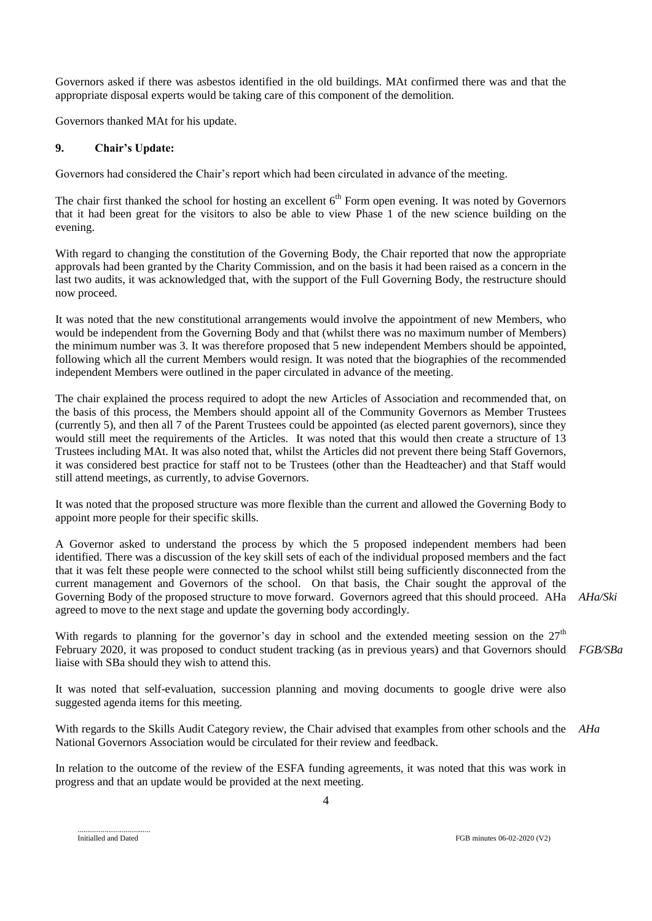Governors asked if there was asbestos identified in the old buildings. MAt confirmed there was and that the appropriate disposal experts would be taking care of this component of the demolition.

Governors thanked MAt for his update.

#### **9. Chair's Update:**

Governors had considered the Chair's report which had been circulated in advance of the meeting.

The chair first thanked the school for hosting an excellent 6<sup>th</sup> Form open evening. It was noted by Governors that it had been great for the visitors to also be able to view Phase 1 of the new science building on the evening.

With regard to changing the constitution of the Governing Body, the Chair reported that now the appropriate approvals had been granted by the Charity Commission, and on the basis it had been raised as a concern in the last two audits, it was acknowledged that, with the support of the Full Governing Body, the restructure should now proceed.

It was noted that the new constitutional arrangements would involve the appointment of new Members, who would be independent from the Governing Body and that (whilst there was no maximum number of Members) the minimum number was 3. It was therefore proposed that 5 new independent Members should be appointed, following which all the current Members would resign. It was noted that the biographies of the recommended independent Members were outlined in the paper circulated in advance of the meeting.

The chair explained the process required to adopt the new Articles of Association and recommended that, on the basis of this process, the Members should appoint all of the Community Governors as Member Trustees (currently 5), and then all 7 of the Parent Trustees could be appointed (as elected parent governors), since they would still meet the requirements of the Articles. It was noted that this would then create a structure of 13 Trustees including MAt. It was also noted that, whilst the Articles did not prevent there being Staff Governors, it was considered best practice for staff not to be Trustees (other than the Headteacher) and that Staff would still attend meetings, as currently, to advise Governors.

It was noted that the proposed structure was more flexible than the current and allowed the Governing Body to appoint more people for their specific skills.

A Governor asked to understand the process by which the 5 proposed independent members had been identified. There was a discussion of the key skill sets of each of the individual proposed members and the fact that it was felt these people were connected to the school whilst still being sufficiently disconnected from the current management and Governors of the school. On that basis, the Chair sought the approval of the Governing Body of the proposed structure to move forward. Governors agreed that this should proceed. AHa *AHa/Ski* agreed to move to the next stage and update the governing body accordingly.

With regards to planning for the governor's day in school and the extended meeting session on the  $27<sup>th</sup>$ February 2020, it was proposed to conduct student tracking (as in previous years) and that Governors should *FGB/SBa* liaise with SBa should they wish to attend this.

It was noted that self-evaluation, succession planning and moving documents to google drive were also suggested agenda items for this meeting.

With regards to the Skills Audit Category review, the Chair advised that examples from other schools and the *AHa*National Governors Association would be circulated for their review and feedback.

In relation to the outcome of the review of the ESFA funding agreements, it was noted that this was work in progress and that an update would be provided at the next meeting.

Initialled and Dated

FGB minutes 06-02-2020 (V2)

4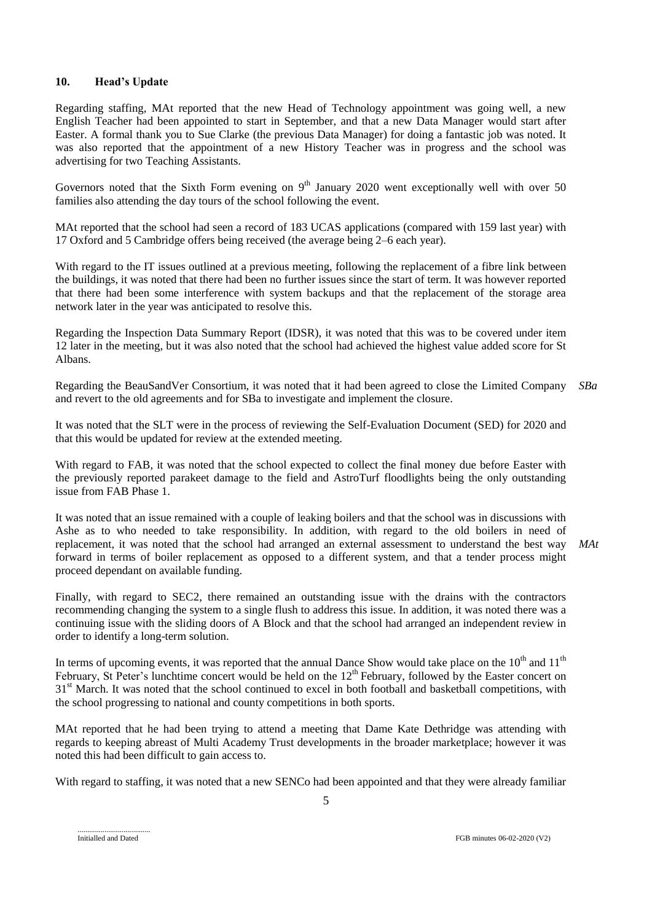#### **10. Head's Update**

Regarding staffing, MAt reported that the new Head of Technology appointment was going well, a new English Teacher had been appointed to start in September, and that a new Data Manager would start after Easter. A formal thank you to Sue Clarke (the previous Data Manager) for doing a fantastic job was noted. It was also reported that the appointment of a new History Teacher was in progress and the school was advertising for two Teaching Assistants.

Governors noted that the Sixth Form evening on  $9<sup>th</sup>$  January 2020 went exceptionally well with over 50 families also attending the day tours of the school following the event.

MAt reported that the school had seen a record of 183 UCAS applications (compared with 159 last year) with 17 Oxford and 5 Cambridge offers being received (the average being 2–6 each year).

With regard to the IT issues outlined at a previous meeting, following the replacement of a fibre link between the buildings, it was noted that there had been no further issues since the start of term. It was however reported that there had been some interference with system backups and that the replacement of the storage area network later in the year was anticipated to resolve this.

Regarding the Inspection Data Summary Report (IDSR), it was noted that this was to be covered under item 12 later in the meeting, but it was also noted that the school had achieved the highest value added score for St Albans.

Regarding the BeauSandVer Consortium, it was noted that it had been agreed to close the Limited Company *SBa* and revert to the old agreements and for SBa to investigate and implement the closure.

It was noted that the SLT were in the process of reviewing the Self-Evaluation Document (SED) for 2020 and that this would be updated for review at the extended meeting.

With regard to FAB, it was noted that the school expected to collect the final money due before Easter with the previously reported parakeet damage to the field and AstroTurf floodlights being the only outstanding issue from FAB Phase 1.

It was noted that an issue remained with a couple of leaking boilers and that the school was in discussions with Ashe as to who needed to take responsibility. In addition, with regard to the old boilers in need of replacement, it was noted that the school had arranged an external assessment to understand the best way forward in terms of boiler replacement as opposed to a different system, and that a tender process might proceed dependant on available funding. *MAt*

Finally, with regard to SEC2, there remained an outstanding issue with the drains with the contractors recommending changing the system to a single flush to address this issue. In addition, it was noted there was a continuing issue with the sliding doors of A Block and that the school had arranged an independent review in order to identify a long-term solution.

In terms of upcoming events, it was reported that the annual Dance Show would take place on the  $10^{th}$  and  $11^{th}$ February, St Peter's lunchtime concert would be held on the 12<sup>th</sup> February, followed by the Easter concert on 31<sup>st</sup> March. It was noted that the school continued to excel in both football and basketball competitions, with the school progressing to national and county competitions in both sports.

MAt reported that he had been trying to attend a meeting that Dame Kate Dethridge was attending with regards to keeping abreast of Multi Academy Trust developments in the broader marketplace; however it was noted this had been difficult to gain access to.

With regard to staffing, it was noted that a new SENCo had been appointed and that they were already familiar

Initialled and Dated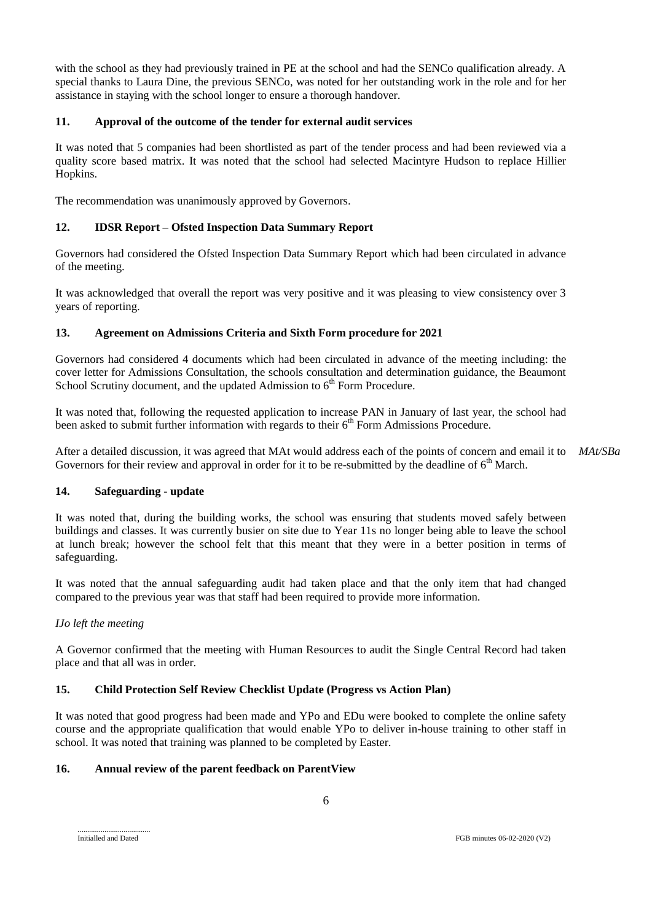with the school as they had previously trained in PE at the school and had the SENCo qualification already. A special thanks to Laura Dine, the previous SENCo, was noted for her outstanding work in the role and for her assistance in staying with the school longer to ensure a thorough handover.

## **11. Approval of the outcome of the tender for external audit services**

It was noted that 5 companies had been shortlisted as part of the tender process and had been reviewed via a quality score based matrix. It was noted that the school had selected Macintyre Hudson to replace Hillier Hopkins.

The recommendation was unanimously approved by Governors.

# **12. IDSR Report – Ofsted Inspection Data Summary Report**

Governors had considered the Ofsted Inspection Data Summary Report which had been circulated in advance of the meeting.

It was acknowledged that overall the report was very positive and it was pleasing to view consistency over 3 years of reporting.

## **13. Agreement on Admissions Criteria and Sixth Form procedure for 2021**

Governors had considered 4 documents which had been circulated in advance of the meeting including: the cover letter for Admissions Consultation, the schools consultation and determination guidance, the Beaumont School Scrutiny document, and the updated Admission to  $6<sup>th</sup>$  Form Procedure.

It was noted that, following the requested application to increase PAN in January of last year, the school had been asked to submit further information with regards to their  $6<sup>th</sup>$  Form Admissions Procedure.

After a detailed discussion, it was agreed that MAt would address each of the points of concern and email it to *MAt/SBa*Governors for their review and approval in order for it to be re-submitted by the deadline of  $6<sup>th</sup>$  March.

## **14. Safeguarding - update**

It was noted that, during the building works, the school was ensuring that students moved safely between buildings and classes. It was currently busier on site due to Year 11s no longer being able to leave the school at lunch break; however the school felt that this meant that they were in a better position in terms of safeguarding.

It was noted that the annual safeguarding audit had taken place and that the only item that had changed compared to the previous year was that staff had been required to provide more information.

## *IJo left the meeting*

A Governor confirmed that the meeting with Human Resources to audit the Single Central Record had taken place and that all was in order.

# **15. Child Protection Self Review Checklist Update (Progress vs Action Plan)**

It was noted that good progress had been made and YPo and EDu were booked to complete the online safety course and the appropriate qualification that would enable YPo to deliver in-house training to other staff in school. It was noted that training was planned to be completed by Easter.

## **16. Annual review of the parent feedback on ParentView**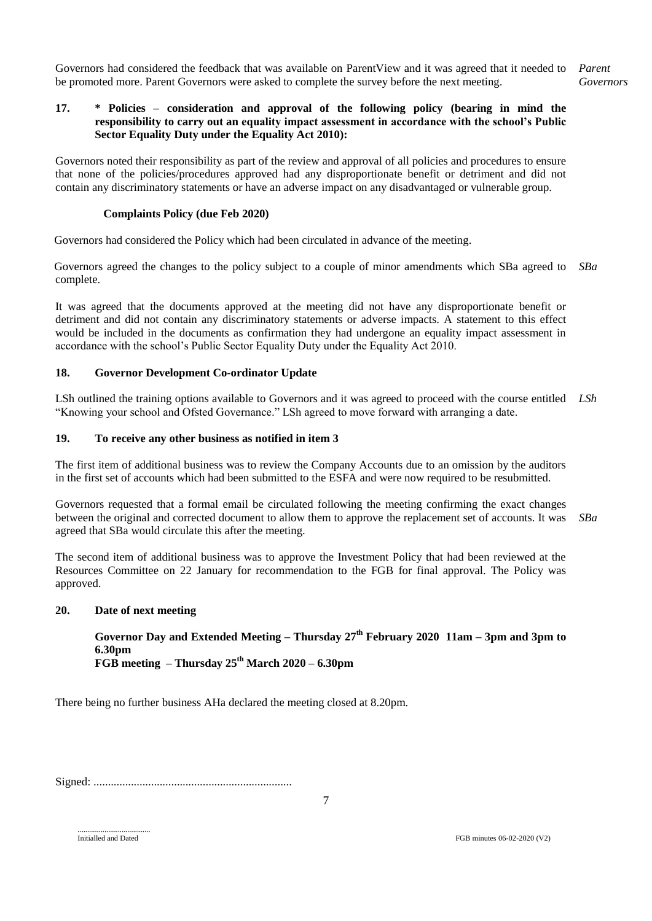Governors had considered the feedback that was available on ParentView and it was agreed that it needed to *Parent*  be promoted more. Parent Governors were asked to complete the survey before the next meeting. *Governors*

### **17. \* Policies – consideration and approval of the following policy (bearing in mind the responsibility to carry out an equality impact assessment in accordance with the school's Public Sector Equality Duty under the Equality Act 2010):**

Governors noted their responsibility as part of the review and approval of all policies and procedures to ensure that none of the policies/procedures approved had any disproportionate benefit or detriment and did not contain any discriminatory statements or have an adverse impact on any disadvantaged or vulnerable group.

#### **Complaints Policy (due Feb 2020)**

Governors had considered the Policy which had been circulated in advance of the meeting.

Governors agreed the changes to the policy subject to a couple of minor amendments which SBa agreed to *SBa* complete.

It was agreed that the documents approved at the meeting did not have any disproportionate benefit or detriment and did not contain any discriminatory statements or adverse impacts. A statement to this effect would be included in the documents as confirmation they had undergone an equality impact assessment in accordance with the school's Public Sector Equality Duty under the Equality Act 2010.

## **18. Governor Development Co-ordinator Update**

LSh outlined the training options available to Governors and it was agreed to proceed with the course entitled *LSh* "Knowing your school and Ofsted Governance." LSh agreed to move forward with arranging a date.

#### **19. To receive any other business as notified in item 3**

The first item of additional business was to review the Company Accounts due to an omission by the auditors in the first set of accounts which had been submitted to the ESFA and were now required to be resubmitted.

Governors requested that a formal email be circulated following the meeting confirming the exact changes between the original and corrected document to allow them to approve the replacement set of accounts. It was agreed that SBa would circulate this after the meeting. *SBa*

The second item of additional business was to approve the Investment Policy that had been reviewed at the Resources Committee on 22 January for recommendation to the FGB for final approval. The Policy was approved.

#### **20. Date of next meeting**

**Governor Day and Extended Meeting – Thursday 27 th February 2020 11am – 3pm and 3pm to 6.30pm FGB meeting – Thursday 25th March 2020 – 6.30pm**

There being no further business AHa declared the meeting closed at 8.20pm.

Signed: .....................................................................